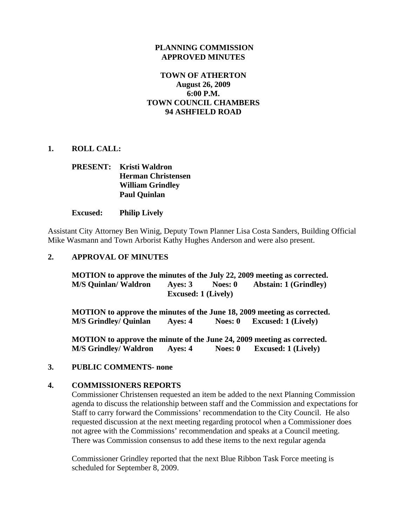### **PLANNING COMMISSION APPROVED MINUTES**

## **TOWN OF ATHERTON August 26, 2009 6:00 P.M. TOWN COUNCIL CHAMBERS 94 ASHFIELD ROAD**

## **1. ROLL CALL:**

# **PRESENT: Kristi Waldron Herman Christensen William Grindley Paul Quinlan**

#### **Excused: Philip Lively**

Assistant City Attorney Ben Winig, Deputy Town Planner Lisa Costa Sanders, Building Official Mike Wasmann and Town Arborist Kathy Hughes Anderson and were also present.

### **2. APPROVAL OF MINUTES**

 **MOTION to approve the minutes of the July 22, 2009 meeting as corrected. M/S Quinlan/ Waldron Ayes: 3 Noes: 0 Abstain: 1 (Grindley) Excused: 1 (Lively)** 

 **MOTION to approve the minutes of the June 18, 2009 meeting as corrected. M/S Grindley/ Quinlan Ayes: 4 Noes: 0 Excused: 1 (Lively)** 

 **MOTION to approve the minute of the June 24, 2009 meeting as corrected. M/S Grindley/ Waldron Ayes: 4 Noes: 0 Excused: 1 (Lively)** 

### **3. PUBLIC COMMENTS- none**

### **4. COMMISSIONERS REPORTS**

Commissioner Christensen requested an item be added to the next Planning Commission agenda to discuss the relationship between staff and the Commission and expectations for Staff to carry forward the Commissions' recommendation to the City Council. He also requested discussion at the next meeting regarding protocol when a Commissioner does not agree with the Commissions' recommendation and speaks at a Council meeting. There was Commission consensus to add these items to the next regular agenda

Commissioner Grindley reported that the next Blue Ribbon Task Force meeting is scheduled for September 8, 2009.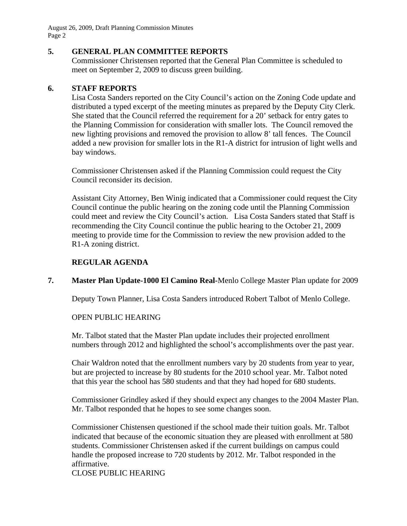August 26, 2009, Draft Planning Commission Minutes Page 2

### **5. GENERAL PLAN COMMITTEE REPORTS**

Commissioner Christensen reported that the General Plan Committee is scheduled to meet on September 2, 2009 to discuss green building.

## **6. STAFF REPORTS**

Lisa Costa Sanders reported on the City Council's action on the Zoning Code update and distributed a typed excerpt of the meeting minutes as prepared by the Deputy City Clerk. She stated that the Council referred the requirement for a 20' setback for entry gates to the Planning Commission for consideration with smaller lots. The Council removed the new lighting provisions and removed the provision to allow 8' tall fences. The Council added a new provision for smaller lots in the R1-A district for intrusion of light wells and bay windows.

Commissioner Christensen asked if the Planning Commission could request the City Council reconsider its decision.

Assistant City Attorney, Ben Winig indicated that a Commissioner could request the City Council continue the public hearing on the zoning code until the Planning Commission could meet and review the City Council's action. Lisa Costa Sanders stated that Staff is recommending the City Council continue the public hearing to the October 21, 2009 meeting to provide time for the Commission to review the new provision added to the R1-A zoning district.

## **REGULAR AGENDA**

# **7. Master Plan Update-1000 El Camino Real-**Menlo College Master Plan update for 2009

Deputy Town Planner, Lisa Costa Sanders introduced Robert Talbot of Menlo College.

### OPEN PUBLIC HEARING

Mr. Talbot stated that the Master Plan update includes their projected enrollment numbers through 2012 and highlighted the school's accomplishments over the past year.

Chair Waldron noted that the enrollment numbers vary by 20 students from year to year, but are projected to increase by 80 students for the 2010 school year. Mr. Talbot noted that this year the school has 580 students and that they had hoped for 680 students.

Commissioner Grindley asked if they should expect any changes to the 2004 Master Plan. Mr. Talbot responded that he hopes to see some changes soon.

Commissioner Chistensen questioned if the school made their tuition goals. Mr. Talbot indicated that because of the economic situation they are pleased with enrollment at 580 students. Commissioner Christensen asked if the current buildings on campus could handle the proposed increase to 720 students by 2012. Mr. Talbot responded in the affirmative.

## CLOSE PUBLIC HEARING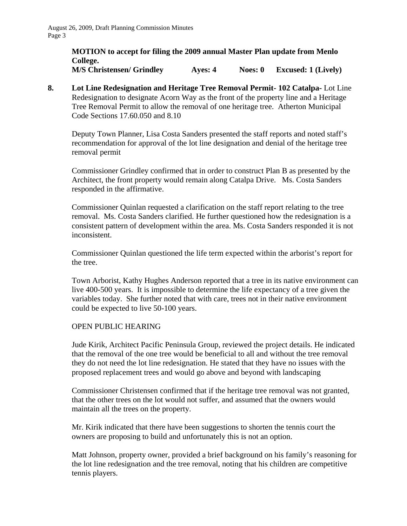#### **MOTION to accept for filing the 2009 annual Master Plan update from Menlo College. M/S Christensen/ Grindley Ayes: 4 Noes: 0 Excused: 1 (Lively)**

**8. Lot Line Redesignation and Heritage Tree Removal Permit- 102 Catalpa-** Lot Line Redesignation to designate Acorn Way as the front of the property line and a Heritage Tree Removal Permit to allow the removal of one heritage tree. Atherton Municipal Code Sections 17.60.050 and 8.10

Deputy Town Planner, Lisa Costa Sanders presented the staff reports and noted staff's recommendation for approval of the lot line designation and denial of the heritage tree removal permit

Commissioner Grindley confirmed that in order to construct Plan B as presented by the Architect, the front property would remain along Catalpa Drive. Ms. Costa Sanders responded in the affirmative.

Commissioner Quinlan requested a clarification on the staff report relating to the tree removal. Ms. Costa Sanders clarified. He further questioned how the redesignation is a consistent pattern of development within the area. Ms. Costa Sanders responded it is not inconsistent.

Commissioner Quinlan questioned the life term expected within the arborist's report for the tree.

Town Arborist, Kathy Hughes Anderson reported that a tree in its native environment can live 400-500 years. It is impossible to determine the life expectancy of a tree given the variables today. She further noted that with care, trees not in their native environment could be expected to live 50-100 years.

### OPEN PUBLIC HEARING

Jude Kirik, Architect Pacific Peninsula Group, reviewed the project details. He indicated that the removal of the one tree would be beneficial to all and without the tree removal they do not need the lot line redesignation. He stated that they have no issues with the proposed replacement trees and would go above and beyond with landscaping

Commissioner Christensen confirmed that if the heritage tree removal was not granted, that the other trees on the lot would not suffer, and assumed that the owners would maintain all the trees on the property.

Mr. Kirik indicated that there have been suggestions to shorten the tennis court the owners are proposing to build and unfortunately this is not an option.

Matt Johnson, property owner, provided a brief background on his family's reasoning for the lot line redesignation and the tree removal, noting that his children are competitive tennis players.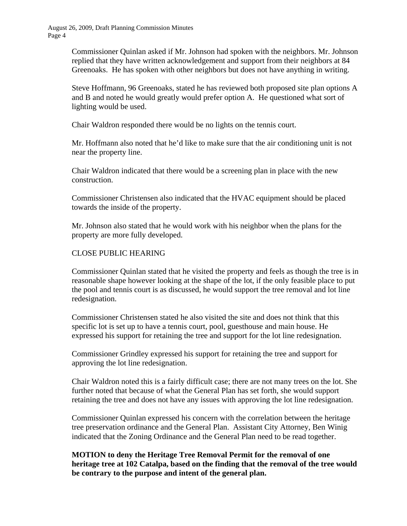Commissioner Quinlan asked if Mr. Johnson had spoken with the neighbors. Mr. Johnson replied that they have written acknowledgement and support from their neighbors at 84 Greenoaks. He has spoken with other neighbors but does not have anything in writing.

Steve Hoffmann, 96 Greenoaks, stated he has reviewed both proposed site plan options A and B and noted he would greatly would prefer option A. He questioned what sort of lighting would be used.

Chair Waldron responded there would be no lights on the tennis court.

Mr. Hoffmann also noted that he'd like to make sure that the air conditioning unit is not near the property line.

Chair Waldron indicated that there would be a screening plan in place with the new construction.

Commissioner Christensen also indicated that the HVAC equipment should be placed towards the inside of the property.

Mr. Johnson also stated that he would work with his neighbor when the plans for the property are more fully developed.

# CLOSE PUBLIC HEARING

Commissioner Quinlan stated that he visited the property and feels as though the tree is in reasonable shape however looking at the shape of the lot, if the only feasible place to put the pool and tennis court is as discussed, he would support the tree removal and lot line redesignation.

Commissioner Christensen stated he also visited the site and does not think that this specific lot is set up to have a tennis court, pool, guesthouse and main house. He expressed his support for retaining the tree and support for the lot line redesignation.

Commissioner Grindley expressed his support for retaining the tree and support for approving the lot line redesignation.

Chair Waldron noted this is a fairly difficult case; there are not many trees on the lot. She further noted that because of what the General Plan has set forth, she would support retaining the tree and does not have any issues with approving the lot line redesignation.

Commissioner Quinlan expressed his concern with the correlation between the heritage tree preservation ordinance and the General Plan. Assistant City Attorney, Ben Winig indicated that the Zoning Ordinance and the General Plan need to be read together.

**MOTION to deny the Heritage Tree Removal Permit for the removal of one heritage tree at 102 Catalpa, based on the finding that the removal of the tree would be contrary to the purpose and intent of the general plan.**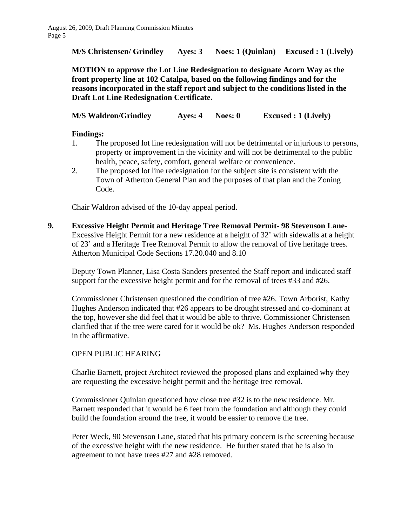**M/S Christensen/ Grindley Ayes: 3 Noes: 1 (Quinlan) Excused : 1 (Lively)** 

**MOTION to approve the Lot Line Redesignation to designate Acorn Way as the front property line at 102 Catalpa, based on the following findings and for the reasons incorporated in the staff report and subject to the conditions listed in the Draft Lot Line Redesignation Certificate.** 

**M/S Waldron/Grindley Ayes: 4 Noes: 0 Excused : 1 (Lively)** 

## **Findings:**

- 1. The proposed lot line redesignation will not be detrimental or injurious to persons, property or improvement in the vicinity and will not be detrimental to the public health, peace, safety, comfort, general welfare or convenience.
- 2. The proposed lot line redesignation for the subject site is consistent with the Town of Atherton General Plan and the purposes of that plan and the Zoning Code.

Chair Waldron advised of the 10-day appeal period.

**9. Excessive Height Permit and Heritage Tree Removal Permit- 98 Stevenson Lane-**Excessive Height Permit for a new residence at a height of 32' with sidewalls at a height of 23' and a Heritage Tree Removal Permit to allow the removal of five heritage trees. Atherton Municipal Code Sections 17.20.040 and 8.10

 Deputy Town Planner, Lisa Costa Sanders presented the Staff report and indicated staff support for the excessive height permit and for the removal of trees #33 and #26.

 Commissioner Christensen questioned the condition of tree #26. Town Arborist, Kathy Hughes Anderson indicated that #26 appears to be drought stressed and co-dominant at the top, however she did feel that it would be able to thrive. Commissioner Christensen clarified that if the tree were cared for it would be ok? Ms. Hughes Anderson responded in the affirmative.

# OPEN PUBLIC HEARING

 Charlie Barnett, project Architect reviewed the proposed plans and explained why they are requesting the excessive height permit and the heritage tree removal.

 Commissioner Quinlan questioned how close tree #32 is to the new residence. Mr. Barnett responded that it would be 6 feet from the foundation and although they could build the foundation around the tree, it would be easier to remove the tree.

Peter Weck, 90 Stevenson Lane, stated that his primary concern is the screening because of the excessive height with the new residence. He further stated that he is also in agreement to not have trees #27 and #28 removed.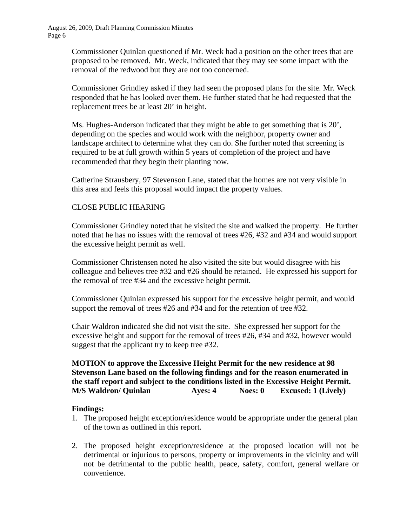Commissioner Quinlan questioned if Mr. Weck had a position on the other trees that are proposed to be removed. Mr. Weck, indicated that they may see some impact with the removal of the redwood but they are not too concerned.

Commissioner Grindley asked if they had seen the proposed plans for the site. Mr. Weck responded that he has looked over them. He further stated that he had requested that the replacement trees be at least 20' in height.

Ms. Hughes-Anderson indicated that they might be able to get something that is 20', depending on the species and would work with the neighbor, property owner and landscape architect to determine what they can do. She further noted that screening is required to be at full growth within 5 years of completion of the project and have recommended that they begin their planting now.

Catherine Strausbery, 97 Stevenson Lane, stated that the homes are not very visible in this area and feels this proposal would impact the property values.

## CLOSE PUBLIC HEARING

Commissioner Grindley noted that he visited the site and walked the property. He further noted that he has no issues with the removal of trees #26, #32 and #34 and would support the excessive height permit as well.

Commissioner Christensen noted he also visited the site but would disagree with his colleague and believes tree #32 and #26 should be retained. He expressed his support for the removal of tree #34 and the excessive height permit.

Commissioner Quinlan expressed his support for the excessive height permit, and would support the removal of trees #26 and #34 and for the retention of tree #32.

Chair Waldron indicated she did not visit the site. She expressed her support for the excessive height and support for the removal of trees #26, #34 and #32, however would suggest that the applicant try to keep tree #32.

# **MOTION to approve the Excessive Height Permit for the new residence at 98 Stevenson Lane based on the following findings and for the reason enumerated in the staff report and subject to the conditions listed in the Excessive Height Permit. M/S Waldron/ Quinlan Ayes: 4 Noes: 0 Excused: 1 (Lively)**

### **Findings:**

- 1. The proposed height exception/residence would be appropriate under the general plan of the town as outlined in this report.
- 2. The proposed height exception/residence at the proposed location will not be detrimental or injurious to persons, property or improvements in the vicinity and will not be detrimental to the public health, peace, safety, comfort, general welfare or convenience.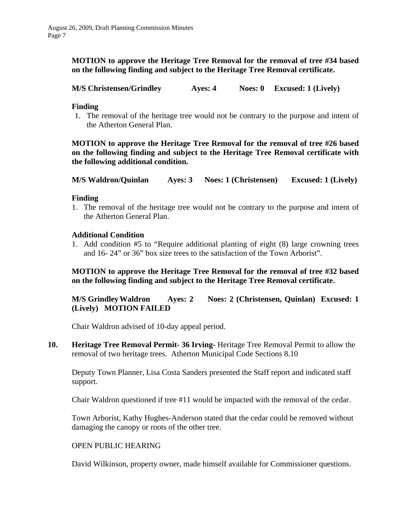**MOTION to approve the Heritage Tree Removal for the removal of tree #34 based on the following finding and subject to the Heritage Tree Removal certificate.** 

**M/S Christensen/Grindley Ayes: 4 Noes: 0 Excused: 1 (Lively)** 

### **Finding**

1. The removal of the heritage tree would not be contrary to the purpose and intent of the Atherton General Plan.

**MOTION to approve the Heritage Tree Removal for the removal of tree #26 based on the following finding and subject to the Heritage Tree Removal certificate with the following additional condition.** 

**M/S Waldron/Quinlan Ayes: 3 Noes: 1 (Christensen) Excused: 1 (Lively)** 

#### **Finding**

1. The removal of the heritage tree would not be contrary to the purpose and intent of the Atherton General Plan.

#### **Additional Condition**

1. Add condition #5 to "Require additional planting of eight (8) large crowning trees and 16- 24" or 36" box size trees to the satisfaction of the Town Arborist".

**MOTION to approve the Heritage Tree Removal for the removal of tree #32 based on the following finding and subject to the Heritage Tree Removal certificate.** 

**M/S Grindley Waldron Ayes: 2 Noes: 2 (Christensen, Quinlan) Excused: 1 (Lively) MOTION FAILED** 

Chair Waldron advised of 10-day appeal period.

**10. Heritage Tree Removal Permit- 36 Irving-** Heritage Tree Removal Permit to allow the removal of two heritage trees. Atherton Municipal Code Sections 8.10

Deputy Town Planner, Lisa Costa Sanders presented the Staff report and indicated staff support.

Chair Waldron questioned if tree #11 would be impacted with the removal of the cedar.

Town Arborist, Kathy Hughes-Anderson stated that the cedar could be removed without damaging the canopy or roots of the other tree.

### OPEN PUBLIC HEARING

David Wilkinson, property owner, made himself available for Commissioner questions.